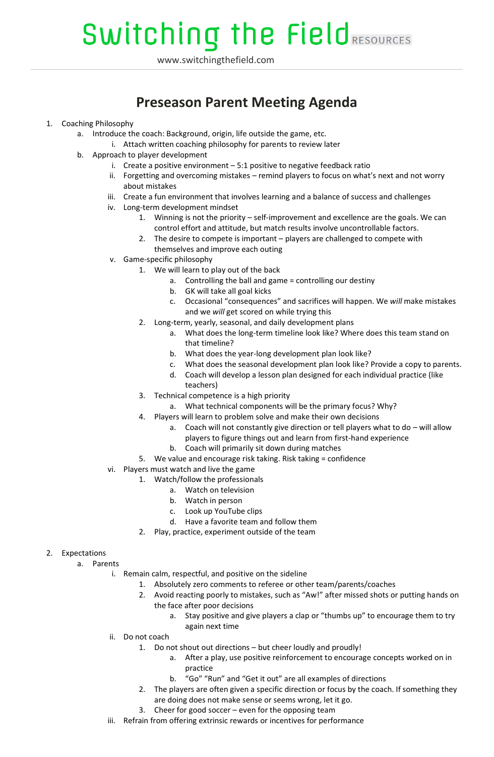# **Switching the Field RESOURCES**

www.switchingthefield.com

### **Preseason Parent Meeting Agenda**

- 1. Coaching Philosophy
	- a. Introduce the coach: Background, origin, life outside the game, etc.
		- i. Attach written coaching philosophy for parents to review later
	- b. Approach to player development
		- i. Create a positive environment  $-5:1$  positive to negative feedback ratio
		- ii. Forgetting and overcoming mistakes remind players to focus on what's next and not worry about mistakes
		- iii. Create a fun environment that involves learning and a balance of success and challenges
		- iv. Long-term development mindset
			- 1. Winning is not the priority self-improvement and excellence are the goals. We can control effort and attitude, but match results involve uncontrollable factors.
			- 2. The desire to compete is important players are challenged to compete with themselves and improve each outing
		- v. Game-specific philosophy
			- 1. We will learn to play out of the back
				- a. Controlling the ball and game = controlling our destiny
					- b. GK will take all goal kicks
				- c. Occasional "consequences" and sacrifices will happen. We *will* make mistakes and we *will* get scored on while trying this
			- 2. Long-term, yearly, seasonal, and daily development plans
				- a. What does the long-term timeline look like? Where does this team stand on that timeline?
				- b. What does the year-long development plan look like?
				- c. What does the seasonal development plan look like? Provide a copy to parents.
				- d. Coach will develop a lesson plan designed for each individual practice (like teachers)
			- 3. Technical competence is a high priority
				- a. What technical components will be the primary focus? Why?
			- 4. Players will learn to problem solve and make their own decisions
				- a. Coach will not constantly give direction or tell players what to do will allow players to figure things out and learn from first-hand experience
				- b. Coach will primarily sit down during matches
			- 5. We value and encourage risk taking. Risk taking = confidence
		- vi. Players must watch and live the game
			- 1. Watch/follow the professionals
				- a. Watch on television
				- b. Watch in person
				- c. Look up YouTube clips
				- d. Have a favorite team and follow them
				- 2. Play, practice, experiment outside of the team

### 2. Expectations

- a. Parents
	- i. Remain calm, respectful, and positive on the sideline
		- 1. Absolutely zero comments to referee or other team/parents/coaches
		- 2. Avoid reacting poorly to mistakes, such as "Aw!" after missed shots or putting hands on the face after poor decisions
			- a. Stay positive and give players a clap or "thumbs up" to encourage them to try again next time
	- ii. Do not coach
		- 1. Do not shout out directions but cheer loudly and proudly!
			- a. After a play, use positive reinforcement to encourage concepts worked on in practice
			- b. "Go" "Run" and "Get it out" are all examples of directions
		- 2. The players are often given a specific direction or focus by the coach. If something they are doing does not make sense or seems wrong, let it go.
		- 3. Cheer for good soccer even for the opposing team
	- iii. Refrain from offering extrinsic rewards or incentives for performance